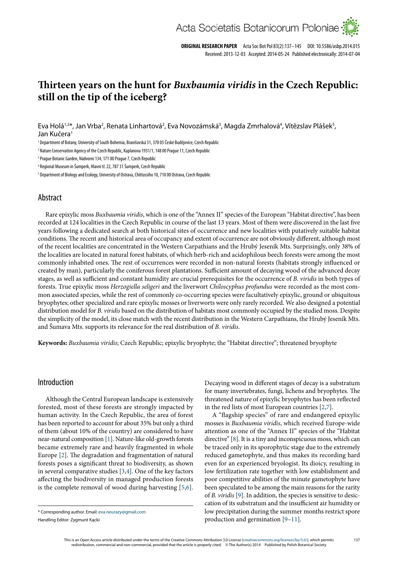

**ORIGINAL RESEARCH PAPER** Acta Soc Bot Pol 83(2):137–145 DOI: [10.5586/asbp.2014.015](http://dx.doi.org/10.5586/asbp.2014.015) Received: 2013-12-03 Accepted: 2014-05-24 Published electronically: 2014-07-04

# **Thirteen years on the hunt for** *Buxbaumia viridis* **in the Czech Republic: still on the tip of the iceberg?**

Eva Holá½\*, Jan Vrba², Renata Linhartová², Eva Novozámská¾, Magda Zmrhalová4, Vítězslav Plášek5, Jan Kučera<sup>1</sup>

1 Department of Botany, University of South Bohemia, Branišovská 31, 370 05 České Budějovice, Czech Republic

2 Nature Conservation Agency of the Czech Republic, Kaplanova 1931/1, 148 00 Prague 11, Czech Republic

3 Prague Botanic Garden, Nádvorní 134, 171 00 Prague 7, Czech Republic

4 Regional Museum in Šumperk, Hlavní tř. 22, 787 31 Šumperk, Czech Republic

5 Department of Biology and Ecology, University of Ostrava, Chittussiho 10, 710 00 Ostrava, Czech Republic

# Abstract

Rare epixylic moss *Buxbaumia viridis*, which is one of the "Annex II" species of the European "Habitat directive", has been recorded at 124 localities in the Czech Republic in course of the last 13 years. Most of them were discovered in the last five years following a dedicated search at both historical sites of occurrence and new localities with putatively suitable habitat conditions. The recent and historical area of occupancy and extent of occurrence are not obviously different, although most of the recent localities are concentrated in the Western Carpathians and the Hrubý Jeseník Mts. Surprisingly, only 38% of the localities are located in natural forest habitats, of which herb-rich and acidophilous beech forests were among the most commonly inhabited ones. The rest of occurrences were recorded in non-natural forests (habitats strongly influenced or created by man), particularly the coniferous forest plantations. Sufficient amount of decaying wood of the advanced decay stages, as well as sufficient and constant humidity are crucial prerequisites for the occurrence of *B. viridis* in both types of forests. True epixylic moss *Herzogiella seligeri* and the liverwort *Chiloscyphus profundus* were recorded as the most common associated species, while the rest of commonly co-occurring species were facultatively epixylic, ground or ubiquitous bryophytes; other specialized and rare epixylic mosses or liverworts were only rarely recorded. We also designed a potential distribution model for *B. viridis* based on the distribution of habitats most commonly occupied by the studied moss. Despite the simplicity of the model, its close match with the recent distribution in the Western Carpathians, the Hrubý Jeseník Mts. and Šumava Mts. supports its relevance for the real distribution of *B. viridis*.

**Keywords:** *Buxbaumia viridis*; Czech Republic; epixylic bryophyte; the "Habitat directive"; threatened bryophyte

### Introduction

Although the Central European landscape is extensively forested, most of these forests are strongly impacted by human activity. In the Czech Republic, the area of forest has been reported to account for about 35% but only a third of them (about 10% of the country) are considered to have near-natural composition [\[1](#page-7-0)]. Nature-like old-growth forests became extremely rare and heavily fragmented in whole Europe [[2](#page-7-1)]. The degradation and fragmentation of natural forests poses a significant threat to biodiversity, as shown in several comparative studies [[3,](#page-7-2)[4\]](#page-7-3). One of the key factors affecting the biodiversity in managed production forests is the complete removal of wood during harvesting [\[5](#page-7-4),[6](#page-7-5)].

Decaying wood in different stages of decay is a substratum for many invertebrates, fungi, lichens and bryophytes. The threatened nature of epixylic bryophytes has been reflected in the red lists of most European countries [\[2](#page-7-1)[,7](#page-7-6)].

A "flagship species" of rare and endangered epixylic mosses is *Buxbaumia viridis*, which received Europe-wide attention as one of the "Annex II" species of the "Habitat directive" [\[8](#page-7-7)]. It is a tiny and inconspicuous moss, which can be traced only in its sporophytic stage due to the extremely reduced gametophyte, and thus makes its recording hard even for an experienced bryologist. Its dioicy, resulting in low fertilization rate together with low establishment and poor competitive abilities of the minute gametophyte have been speculated to be among the main reasons for the rarity of *B. viridis* [[9\]](#page-7-8). In addition, the species is sensitive to desiccation of its substratum and the insufficient air humidity or low precipitation during the summer months restrict spore production and germination [[9](#page-7-8)–[11](#page-7-9)].

<sup>\*</sup> Corresponding author. Email: [eva.neurazy@gmail.com](mailto:eva.neurazy%40gmail.com?subject=asbp.2014.015)

Handling Editor: Zygmunt Kącki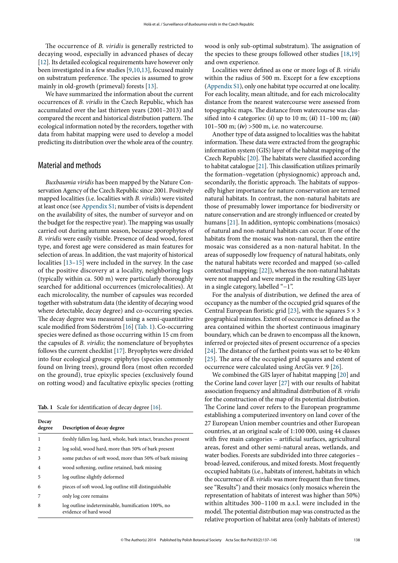The occurrence of *B. viridis* is generally restricted to decaying wood, especially in advanced phases of decay [\[12](#page-7-10)]. Its detailed ecological requirements have however only been investigated in a few studies [[9](#page-7-8),[10](#page-7-11)[,13](#page-7-12)], focused mainly on substratum preference. The species is assumed to grow mainly in old-growth (primeval) forests [[13](#page-7-12)].

We have summarized the information about the current occurrences of *B. viridis* in the Czech Republic, which has accumulated over the last thirteen years (2001–2013) and compared the recent and historical distribution pattern. The ecological information noted by the recorders, together with data from habitat mapping were used to develop a model predicting its distribution over the whole area of the country.

# Material and methods

*Buxbaumia viridis* has been mapped by the Nature Conservation Agency of the Czech Republic since 2001. Positively mapped localities (i.e. localities with *B. viridis*) were visited at least once (see [Appendix S1;](http://pbsociety.org.pl/journals/index.php/asbp/rt/suppFiles/asbp.2014.015/0) number of visits is dependent on the availability of sites, the number of surveyor and on the budget for the respective year). The mapping was usually carried out during autumn season, because sporophytes of *B. viridis* were easily visible. Presence of dead wood, forest type, and forest age were considered as main features for selection of areas. In addition, the vast majority of historical localities [\[13](#page-7-12)[–15\]](#page-7-13) were included in the survey. In the case of the positive discovery at a locality, neighboring logs (typically within ca. 500 m) were particularly thoroughly searched for additional occurrences (microlocalities). At each microlocality, the number of capsules was recorded together with substratum data (the identity of decaying wood where detectable, decay degree) and co-occurring species. The decay degree was measured using a semi-quantitative scale modified from Söderström [\[16](#page-7-14)] [\(Tab. 1](#page-1-0)). Co-occurring species were defined as those occurring within 15 cm from the capsules of *B. viridis*; the nomenclature of bryophytes follows the current checklist [[17](#page-7-15)]. Bryophytes were divided into four ecological groups: epiphytes (species commonly found on living trees), ground flora (most often recorded on the ground), true epixylic species (exclusively found on rotting wood) and facultative epixylic species (rotting

<span id="page-1-0"></span>**Tab. 1** Scale for identification of decay degree [\[16](#page-7-14)].

| Decay<br>degree | Description of decay degree                                                |
|-----------------|----------------------------------------------------------------------------|
| 1               | freshly fallen log, hard, whole, bark intact, branches present             |
| $\mathfrak{D}$  | log solid, wood hard, more than 50% of bark present                        |
| 3               | some patches of soft wood, more than 50% of bark missing                   |
| $\overline{4}$  | wood softening, outline retained, bark missing                             |
| 5               | log outline slightly deformed                                              |
| 6               | pieces of soft wood, log outline still distinguishable                     |
| 7               | only log core remains                                                      |
| 8               | log outline indeterminable, humification 100%, no<br>evidence of hard wood |

wood is only sub-optimal substratum). The assignation of the species to these groups followed other studies [\[18](#page-7-16)[,19](#page-7-17)] and own experience.

Localities were defined as one or more logs of *B. viridis* within the radius of 500 m. Except for a few exceptions [\(Appendix S1\)](http://pbsociety.org.pl/journals/index.php/asbp/rt/suppFiles/asbp.2014.015/0), only one habitat type occurred at one locality. For each locality, mean altitude, and for each microlocality distance from the nearest watercourse were assessed from topographic maps. The distance from watercourse was classified into 4 categories: (*i*) up to 10 m; (*ii*) 11–100 m; (*iii*) 101–500 m; (*iv*) >500 m, i.e. no watercourse.

Another type of data assigned to localities was the habitat information. These data were extracted from the geographic information system (GIS) layer of the habitat mapping of the Czech Republic [20]. The habitats were classified according to habitat catalogue [21]. This classification utilizes primarily the formation–vegetation (physiognomic) approach and, secondarily, the floristic approach. The habitats of supposedly higher importance for nature conservation are termed natural habitats. In contrast, the non-natural habitats are those of presumably lower importance for biodiversity or nature conservation and are strongly influenced or created by humans [21]. In addition, syntopic combinations (mosaics) of natural and non-natural habitats can occur. If one of the habitats from the mosaic was non-natural, then the entire mosaic was considered as a non-natural habitat. In the areas of supposedly low frequency of natural habitats, only the natural habitats were recorded and mapped (so-called contextual mapping; [22]), whereas the non-natural habitats were not mapped and were merged in the resulting GIS layer in a single category, labelled "−1".

For the analysis of distribution, we defined the area of occupancy as the number of the occupied grid squares of the Central European floristic grid [23], with the squares  $5 \times 3$ geographical minutes. Extent of occurrence is defined as the area contained within the shortest continuous imaginary boundary, which can be drawn to encompass all the known, inferred or projected sites of present occurrence of a species [24]. The distance of the farthest points was set to be 40 km [25]. The area of the occupied grid squares and extent of occurrence were calculated using ArcGis ver. 9 [26].

We combined the GIS layer of habitat mapping [20] and the Corine land cover layer [27] with our results of habitat association frequency and altitudinal distribution of *B. viridis* for the construction of the map of its potential distribution. The Corine land cover refers to the European programme establishing a computerized inventory on land cover of the 27 European Union member countries and other European countries, at an original scale of 1:100 000, using 44 classes with five main categories – artificial surfaces, agricultural areas, forest and other semi-natural areas, wetlands, and water bodies. Forests are subdivided into three categories – broad-leaved, coniferous, and mixed forests. Most frequently occupied habitats (i.e., habitats of interest, habitats in which the occurrence of *B. viridis* was more frequent than five times, see "Results") and their mosaics (only mosaics wherein the representation of habitats of interest was higher than 50%) within altitudes 300–1100 m a.s.l. were included in the model. The potential distribution map was constructed as the relative proportion of habitat area (only habitats of interest)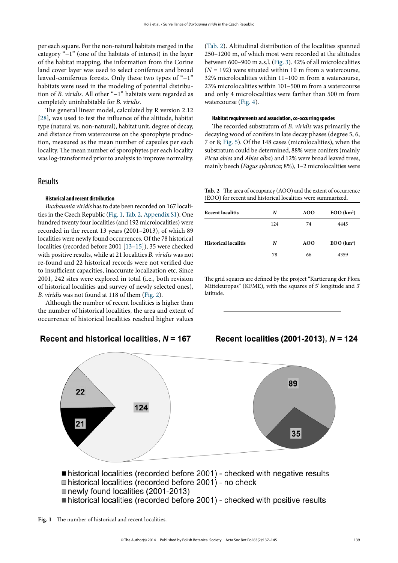per each square. For the non-natural habitats merged in the category "−1" (one of the habitats of interest) in the layer of the habitat mapping, the information from the Corine land cover layer was used to select coniferous and broad leaved-coniferous forests. Only these two types of "−1" habitats were used in the modeling of potential distribution of *B. viridis*. All other "−1" habitats were regarded as completely uninhabitable for *B. viridis*.

The general linear model, calculated by R version 2.12 [28], was used to test the influence of the altitude, habitat type (natural vs. non-natural), habitat unit, degree of decay, and distance from watercourse on the sporophyte production, measured as the mean number of capsules per each locality. The mean number of sporophytes per each locality was log-transformed prior to analysis to improve normality.

## Results

#### **Historical and recent distribution**

*Buxbaumia viridis* has to date been recorded on 167 localities in the Czech Republic (Fig. 1, Tab. 2, [Appendix S1\)](http://pbsociety.org.pl/journals/index.php/asbp/rt/suppFiles/asbp.2014.015/0). One hundred twenty four localities (and 192 microlocalities) were recorded in the recent 13 years (2001–2013), of which 89 localities were newly found occurrences. Of the 78 historical localities (recorded before 2001 [[13](#page-7-12)–[15](#page-7-13)]), 35 were checked with positive results, while at 21 localities *B. viridis* was not re-found and 22 historical records were not verified due to insufficient capacities, inaccurate localization etc. Since 2001, 242 sites were explored in total (i.e., both revision of historical localities and survey of newly selected ones), *B. viridis* was not found at 118 of them (Fig. 2).

Although the number of recent localities is higher than the number of historical localities, the area and extent of occurrence of historical localities reached higher values

### Recent and historical localities,  $N = 167$

(Tab. 2). Altitudinal distribution of the localities spanned 250–1200 m, of which most were recorded at the altitudes between 600–900 m a.s.l. (Fig. 3). 42% of all microlocalities  $(N = 192)$  were situated within 10 m from a watercourse, 32% microlocalities within 11–100 m from a watercourse, 23% microlocalities within 101–500 m from a watercourse and only 4 microlocalities were farther than 500 m from watercourse (Fig. 4).

### **Habitat requirements and association, co-occurring species**

The recorded substratum of *B. viridis* was primarily the decaying wood of conifers in late decay phases (degree 5, 6, 7 or 8; Fig. 5). Of the 148 cases (microlocalities), when the substratum could be determined, 88% were conifers (mainly *Picea abies* and *Abies alba*) and 12% were broad leaved trees, mainly beech (*Fagus sylvatica*; 8%), 1–2 microlocalities were

**Tab. 2** The area of occupancy (AOO) and the extent of occurrence (EOO) for recent and historical localities were summarized.

| <b>Recent localitis</b>     | N   | AOO | EOO (km <sup>2</sup> ) |
|-----------------------------|-----|-----|------------------------|
|                             | 124 | 74  | 4445                   |
| <b>Historical localitis</b> | N   | AOO | EOO (km <sup>2</sup> ) |
|                             | 78  | 66  | 4359                   |

The grid squares are defined by the project "Kartierung der Flora Mitteleuropas" (KFME), with the squares of 5*'* longitude and 3*'* latitude.





- historical localities (recorded before 2001) checked with negative results
- historical localities (recorded before 2001) no check
- newly found localities (2001-2013)
- historical localities (recorded before 2001) checked with positive results

Fig. 1 The number of historical and recent localities.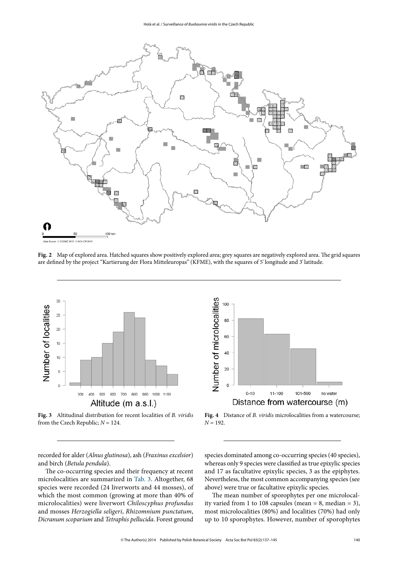

**Fig. 2** Map of explored area. Hatched squares show positively explored area; grey squares are negatively explored area. The grid squares are defined by the project "Kartierung der Flora Mitteleuropas" (KFME), with the squares of 5*'* longitude and 3*'* latitude.



**Fig. 3** Altitudinal distribution for recent localities of *B. viridis* from the Czech Republic;  $N = 124$ .

recorded for alder (*Alnus glutinosa*), ash (*Fraxinus excelsior*) and birch (*Betula pendula*).

The co-occurring species and their frequency at recent microlocalities are summarized in Tab. 3. Altogether, 68 species were recorded (24 liverworts and 44 mosses), of which the most common (growing at more than 40% of microlocalities) were liverwort *Chiloscyphus profundus* and mosses *Herzogiella seligeri*, *Rhizomnium punctatum*, *Dicranum scoparium* and *Tetraphis pellucida*. Forest ground



**Fig. 4** Distance of *B. viridis* microlocalities from a watercourse; *N* = 192.

species dominated among co-occurring species (40 species), whereas only 9 species were classified as true epixylic species and 17 as facultative epixylic species, 3 as the epiphytes. Nevertheless, the most common accompanying species (see above) were true or facultative epixylic species.

The mean number of sporophytes per one microlocality varied from 1 to 108 capsules (mean = 8, median = 3), most microlocalities (80%) and localities (70%) had only up to 10 sporophytes. However, number of sporophytes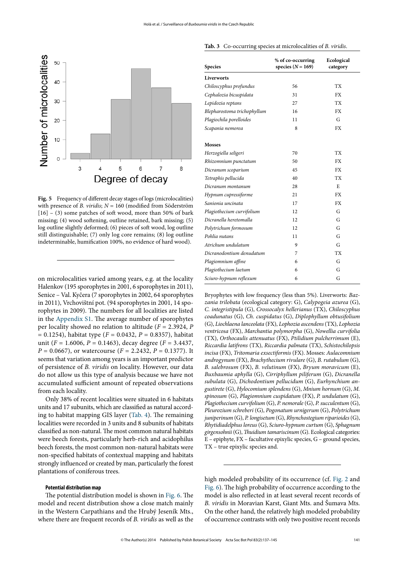

**Fig. 5** Frequency of different decay stages of logs (microlocalities) with presence of *B. viridis*; *N* = 160 (modified from Söderström  $[16] - (3)$  some patches of soft wood, more than 50% of bark missing; (4) wood softening, outline retained, bark missing; (5) log outline slightly deformed; (6) pieces of soft wood, log outline still distinguishable; (7) only log core remains; (8) log outline indeterminable, humification 100%, no evidence of hard wood).

on microlocalities varied among years, e.g. at the locality Halenkov (195 sporophytes in 2001, 6 sporophytes in 2011), Senice – Val. Kyčera (7 sporophytes in 2002, 64 sporophytes in 2011), Vrchovištní pot. (94 sporophytes in 2001, 14 sporophytes in 2009). The numbers for all localities are listed in the [Appendix S1.](http://pbsociety.org.pl/journals/index.php/asbp/rt/suppFiles/asbp.2014.015/0) The average number of sporophytes per locality showed no relation to altitude (*F* = 2.3924, *P* = 0.1254), habitat type (*F* = 0.0432, *P* = 0.8357), habitat unit ( $F = 1.6006$ ,  $P = 0.1463$ ), decay degree ( $F = 3.4437$ ,  $P = 0.0667$ , or watercourse ( $F = 2.2432$ ,  $P = 0.1377$ ). It seems that variation among years is an important predictor of persistence of *B. viridis* on locality. However, our data do not allow us this type of analysis because we have not accumulated sufficient amount of repeated observations from each locality.

Only 38% of recent localities were situated in 6 habitats units and 17 subunits, which are classified as natural according to habitat mapping GIS layer (Tab. 4). The remaining localities were recorded in 3 units and 8 subunits of habitats classified as non-natural. The most common natural habitats were beech forests, particularly herb-rich and acidophilus beech forests, the most common non-natural habitats were non-specified habitats of contextual mapping and habitats strongly influenced or created by man, particularly the forest plantations of coniferous trees.

### **Potential distribution map**

The potential distribution model is shown in Fig. 6. The model and recent distribution show a close match mainly in the Western Carpathians and the Hrubý Jeseník Mts., where there are frequent records of *B. viridis* as well as the

|  | Tab. 3 Co-occurring species at microlocalities of B. viridis. |  |  |  |  |  |
|--|---------------------------------------------------------------|--|--|--|--|--|
|--|---------------------------------------------------------------|--|--|--|--|--|

| <b>Species</b>              | % of co-occurring<br>species $(N = 169)$ | Ecological<br>category |
|-----------------------------|------------------------------------------|------------------------|
| Liverworts                  |                                          |                        |
| Chiloscyphus profundus      | 56                                       | TX                     |
| Cephalozia bicuspidata      | 31                                       | FX                     |
| Lepidozia reptans           | 27                                       | <b>TX</b>              |
| Blepharostoma trichophyllum | 16                                       | FX                     |
| Plagiochila porelloides     | 11                                       | G                      |
| Scapania nemorea            | 8                                        | <b>FX</b>              |
| Mosses                      |                                          |                        |
| Herzogiella seligeri        | 70                                       | <b>TX</b>              |
| Rhizomnium punctatum        | 50                                       | FX                     |
| Dicranum scoparium          | 45                                       | FX                     |
| Tetraphis pellucida         | 40                                       | <b>TX</b>              |
| Dicranum montanum           | 28                                       | E                      |
| Hypnum cupressiforme        | 21                                       | <b>FX</b>              |
| Sanionia uncinata           | 17                                       | <b>FX</b>              |
| Plagiothecium curvifolium   | 12                                       | G                      |
| Dicranella heretomalla      | 12                                       | G                      |
| Polytrichum formosum        | 12                                       | G                      |
| Pohlia nutans               | 11                                       | G                      |
| Atrichum undulatum          | 9                                        | G                      |
| Dicranodontium denudatum    | 7                                        | TХ                     |
| Plagiomnium affine          | 6                                        | G                      |
| Plagiothecium laetum        | 6                                        | G                      |
| Sciuro-hypnum reflexum      | 6                                        | G                      |

Bryophytes with low frequency (less than 5%). Liverworts: *Bazzania trilobata* (ecological category: G), *Calypogeia azurea* (G), *C. integristipula* (G), *Crossocalyx hellerianus* (TX), *Chiloscyphus coadunatus* (G), *Ch. cuspidatus* (G), *Diplophyllum obtusifolium* (G), *Liochlaena lanceolata* (FX), *Lophozia ascendens* (TX), *Lophozia ventricosa* (FX), *Marchantia polymorpha* (G), *Nowellia curvifolia* (TX), *Orthocaulis attenuatus* (FX), *Ptilidium pulcherrimum* (E), *Riccardia latifrons* (TX), *Riccardia palmata* (TX), *Schistochilopsis incisa* (FX), *Tritomaria exsectiformis* (FX). Mosses: *Aulacomnium androgynum* (FX), *Brachythecium rivulare* (G), *B. rutabulum* (G), *B. salebrosum* (FX), *B. velutinum* (FX), *Bryum moravicum* (E), *Buxbaumia aphylla* (G), *Cirriphyllum piliferum* (G), *Dicranella subulata* (G), *Dichodontium pellucidum* (G), *Eurhynchium angustirete* (G), *Hylocomium splendens* (G), *Mnium hornum* (G), *M. spinosum* (G), *Plagiomnium cuspidatum* (FX), *P. undulatum* (G), *Plagiothecium curvifolium* (G), *P. nemorale* (G), *P. succulentum* (G), *Pleurozium schreberi* (G), *Pogonatum urnigerum* (G), *Polytrichum juniperinum* (G), *P. longisetum* (G), *Rhynchostegium riparioides* (G), *Rhytidiadelphus loreus* (G), *Sciuro-hypnum curtum* (G), *Sphagnum girgensohnii* (G), *Thuidium tamariscinum* (G). Ecological categories: E – epiphyte, FX – facultative epixylic species, G – ground species, TX – true epixylic species and.

high modeled probability of its occurrence (cf. Fig. 2 and Fig. 6). The high probability of occurrence according to the model is also reflected in at least several recent records of *B. viridis* in Moravian Karst, Giant Mts. and Šumava Mts. On the other hand, the relatively high modeled probability of occurrence contrasts with only two positive recent records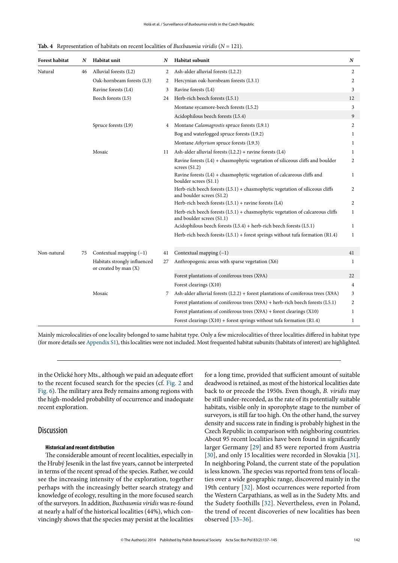| <b>Forest habitat</b> | N                      | Habitat unit                                            | N  | Habitat subunit                                                                                              | N            |
|-----------------------|------------------------|---------------------------------------------------------|----|--------------------------------------------------------------------------------------------------------------|--------------|
| Natural               | 46                     | Alluvial forests (L2)                                   | 2  | Ash-alder alluvial forests (L2.2)                                                                            | 2            |
|                       |                        | Oak-hornbeam forests (L3)                               | 2  | Hercynian oak-hornbeam forests (L3.1)                                                                        | 2            |
|                       |                        | Ravine forests (L4)                                     | 3  | Ravine forests (L4)                                                                                          | 3            |
|                       |                        | Beech forests (L5)                                      | 24 | Herb-rich beech forests (L5.1)                                                                               | 12           |
|                       |                        |                                                         |    | Montane sycamore-beech forests (L5.2)                                                                        | 3            |
|                       |                        |                                                         |    | Acidophilous beech forests (L5.4)                                                                            | 9            |
|                       |                        | Spruce forests (L9)                                     | 4  | Montane Calamagrostis spruce forests (L9.1)                                                                  | 2            |
|                       |                        |                                                         |    | Bog and waterlogged spruce forests (L9.2)                                                                    | 1            |
|                       |                        |                                                         |    | Montane Athyrium spruce forests (L9.3)                                                                       | 1            |
|                       |                        | Mosaic                                                  | 11 | Ash-alder alluvial forests $(L2.2)$ + ravine forests $(L4)$                                                  | 1            |
|                       |                        |                                                         |    | Ravine forests $(L4)$ + chasmophytic vegetation of siliceous cliffs and boulder<br>screes $(S1.2)$           | 2            |
|                       |                        |                                                         |    | Ravine forests $(L4)$ + chasmophytic vegetation of calcareous cliffs and<br>boulder screes (S1.1)            | 1            |
|                       |                        |                                                         |    | Herb-rich beech forests $(L5.1)$ + chasmophytic vegetation of siliceous cliffs<br>and boulder screes (S1.2)  | 2            |
|                       |                        |                                                         |    | Herb-rich beech forests $(L5.1)$ + ravine forests $(L4)$                                                     | 2            |
|                       |                        |                                                         |    | Herb-rich beech forests $(L5.1)$ + chasmophytic vegetation of calcareous cliffs<br>and boulder screes (S1.1) | 1            |
|                       |                        |                                                         |    | Acidophilous beech forests $(L5.4)$ + herb-rich beech forests $(L5.1)$                                       | 1            |
|                       |                        |                                                         |    | Herb-rich beech forests $(L5.1)$ + forest springs without tufa formation $(R1.4)$                            | $\mathbf{1}$ |
| Non-natural           | 75                     | Contextual mapping $(-1)$                               | 41 | Contextual mapping $(-1)$                                                                                    | 41           |
|                       |                        | Habitats strongly influenced<br>or created by man $(X)$ | 27 | Anthropogenic areas with sparse vegetation (X6)                                                              | 1            |
|                       |                        |                                                         |    | Forest plantations of coniferous trees (X9A)                                                                 | 22           |
|                       | Forest clearings (X10) |                                                         |    | $\overline{4}$                                                                                               |              |
|                       |                        | Mosaic                                                  | 7  | Ash-alder alluvial forests $(L2.2)$ + forest plantations of coniferous trees $(X9A)$                         | 3            |
|                       |                        |                                                         |    | Forest plantations of coniferous trees $(X9A)$ + herb-rich beech forests $(L5.1)$                            | 2            |
|                       |                        |                                                         |    | Forest plantations of coniferous trees $(X9A)$ + forest clearings $(X10)$                                    | 1            |
|                       |                        |                                                         |    | Forest clearings $(X10)$ + forest springs without tufa formation $(R1.4)$                                    | 1            |

**Tab. 4** Representation of habitats on recent localities of *Buxbaumia viridis* (*N* = 121).

Mainly microlocalities of one locality belonged to same habitat type. Only a few microlocalities of three localities differed in habitat type (for more details see [Appendix S1\)](http://pbsociety.org.pl/journals/index.php/asbp/rt/suppFiles/asbp.2014.015/0), this localities were not included. Most frequented habitat subunits (habitats of interest) are highlighted.

in the Orlické hory Mts., although we paid an adequate effort to the recent focused search for the species (cf. Fig. 2 and Fig. 6). The military area Brdy remains among regions with the high-modeled probability of occurrence and inadequate recent exploration.

# **Discussion**

### **Historical and recent distribution**

The considerable amount of recent localities, especially in the Hrubý Jeseník in the last five years, cannot be interpreted in terms of the recent spread of the species. Rather, we could see the increasing intensity of the exploration, together perhaps with the increasingly better search strategy and knowledge of ecology, resulting in the more focused search of the surveyors. In addition, *Buxbaumia viridis* was re-found at nearly a half of the historical localities (44%), which convincingly shows that the species may persist at the localities for a long time, provided that sufficient amount of suitable deadwood is retained, as most of the historical localities date back to or precede the 1950s. Even though, *B. viridis* may be still under-recorded, as the rate of its potentially suitable habitats, visible only in sporophyte stage to the number of surveyors, is still far too high. On the other hand, the survey density and success rate in finding is probably highest in the Czech Republic in comparison with neighboring countries. About 95 recent localities have been found in significantly larger Germany [29] and 85 were reported from Austria [30], and only 15 localities were recorded in Slovakia [31]. In neighboring Poland, the current state of the population is less known. The species was reported from tens of localities over a wide geographic range, discovered mainly in the 19th century [32]. Most occurrences were reported from the Western Carpathians, as well as in the Sudety Mts. and the Sudety foothills [32]. Nevertheless, even in Poland, the trend of recent discoveries of new localities has been observed [33–36].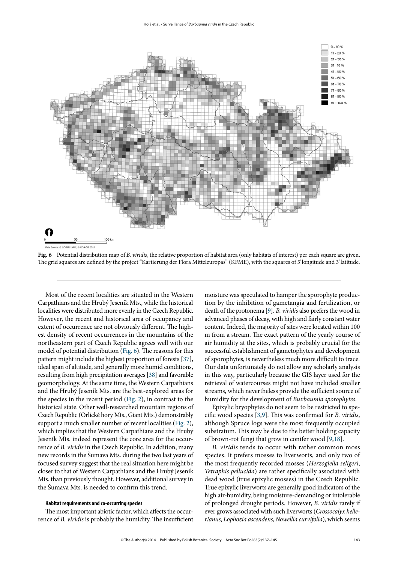

**Fig. 6** Potential distribution map of *B. viridis*, the relative proportion of habitat area (only habitats of interest) per each square are given. The grid squares are defined by the project "Kartierung der Flora Mitteleuropas" (KFME), with the squares of 5*'* longitude and 3*'* latitude.

Most of the recent localities are situated in the Western Carpathians and the Hrubý Jeseník Mts., while the historical localities were distributed more evenly in the Czech Republic. However, the recent and historical area of occupancy and extent of occurrence are not obviously different. The highest density of recent occurrences in the mountains of the northeastern part of Czech Republic agrees well with our model of potential distribution (Fig. 6). The reasons for this pattern might include the highest proportion of forests [37], ideal span of altitude, and generally more humid conditions, resulting from high precipitation averages [38] and favorable geomorphology. At the same time, the Western Carpathians and the Hrubý Jeseník Mts. are the best-explored areas for the species in the recent period (Fig. 2), in contrast to the historical state. Other well-researched mountain regions of Czech Republic (Orlické hory Mts., Giant Mts.) demonstrably support a much smaller number of recent localities (Fig. 2), which implies that the Western Carpathians and the Hrubý Jeseník Mts. indeed represent the core area for the occurrence of *B. viridis* in the Czech Republic. In addition, many new records in the Šumava Mts. during the two last years of focused survey suggest that the real situation here might be closer to that of Western Carpathians and the Hrubý Jeseník Mts. than previously thought. However, additional survey in the Šumava Mts. is needed to confirm this trend.

#### **Habitat requirements and co-occurring species**

The most important abiotic factor, which affects the occurrence of *B. viridis* is probably the humidity. The insufficient moisture was speculated to hamper the sporophyte production by the inhibition of gametangia and fertilization, or death of the protonema [[9](#page-7-8)]. *B. viridis* also prefers the wood in advanced phases of decay, with high and fairly constant water content. Indeed, the majority of sites were located within 100 m from a stream. The exact pattern of the yearly course of air humidity at the sites, which is probably crucial for the successful establishment of gametophytes and development of sporophytes, is nevertheless much more difficult to trace. Our data unfortunately do not allow any scholarly analysis in this way, particularly because the GIS layer used for the retrieval of watercourses might not have included smaller streams, which nevertheless provide the sufficient source of humidity for the development of *Buxbaumia sporophytes*.

Epixylic bryophytes do not seem to be restricted to specific wood species [[3](#page-7-2),[9\]](#page-7-8). This was confirmed for *B. viridis*, although Spruce logs were the most frequently occupied substratum. This may be due to the better holding capacity of brown-rot fungi that grow in conifer wood [\[9](#page-7-8)[,18](#page-7-16)].

*B. viridis* tends to occur with rather common moss species. It prefers mosses to liverworts, and only two of the most frequently recorded mosses (*Herzogiella seligeri*, *Tetraphis pellucida*) are rather specifically associated with dead wood (true epixylic mosses) in the Czech Republic. True epixylic liverworts are generally good indicators of the high air-humidity, being moisture-demanding or intolerable of prolonged drought periods. However, *B. viridis* rarely if ever grows associated with such liverworts (*Crossocalyx hellerianus*, *Lophozia ascendens*, *Nowellia curvifolia*), which seems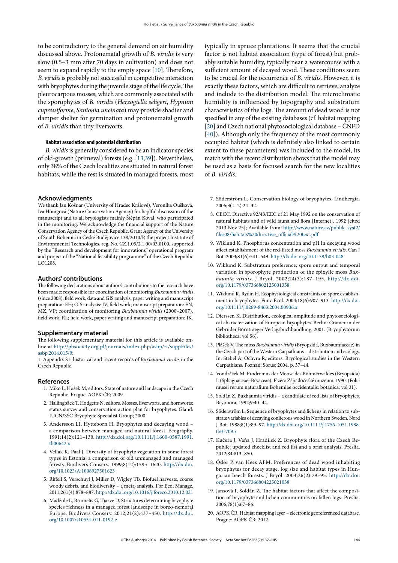to be contradictory to the general demand on air humidity discussed above. Protonematal growth of *B. viridis* is very slow (0.5–3 mm after 70 days in cultivation) and does not seem to expand rapidly to the empty space [\[10\]](#page-7-11). Therefore, *B. viridis* is probably not successful in competitive interaction with bryophytes during the juvenile stage of the life cycle. The pleurocarpous mosses, which are commonly associated with the sporophytes of *B. viridis* (*Herzogiella seligeri*, *Hypnum cupressiforme*, *Sanionia uncinata*) may provide shadier and damper shelter for germination and protonematal growth of *B. viridis* than tiny liverworts.

### **Habitat association and potential distribution**

*B. viridis* is generally considered to be an indicator species of old-growth (primeval) forests (e.g. [\[13,](#page-7-12)39]). Nevertheless, only 38% of the Czech localities are situated in natural forest habitats, while the rest is situated in managed forests, most

#### **Acknowledgments**

We thank Jan Košnar (University of Hradec Králové), Veronika Oušková, Iva Hönigová (Nature Conservation Agency) for heplful discussion of the manuscript and to all bryologists mainly Štěpán Koval, who participated in the monitoring. We acknowledge the financial support of the Nature Conservation Agency of the Czech Republic, Grant Agency of the University of South Bohemia in České Budějovice 138/2010/P, the project Institute of Environmental Technologies, reg. No. CZ.1.05/2.1.00/03.0100, supported by the "Research and development for innovations" operational program and project of the "National feasibility programme" of the Czech Republic  $LO1208$ 

#### **Authors' contributions**

The following declarations about authors' contributions to the research have been made: responsible for coordination of monitoring *Buxbaumia viridis* (since 2008), field work, data and GIS analysis, paper writing and manuscript preparation: EH; GIS analysis: JV; field work, manuscript preparation: EN, MZ, VP; coordination of monitoring *Buxbaumia viridis* (2000–2007), field work: RL; field work, paper writing and manuscript preparation: JK.

#### **Supplementary material**

The following supplementary material for this article is available online at [http://pbsociety.org.pl/journals/index.php/asbp/rt/suppFiles/](http://pbsociety.org.pl/journals/index.php/asbp/rt/suppFiles/asbp.2014.015/0) [asbp.2014.015/0](http://pbsociety.org.pl/journals/index.php/asbp/rt/suppFiles/asbp.2014.015/0):

1. Appendix S1: historical and recent records of *Buxbaumia viridis* in the Czech Republic.

#### **References**

- <span id="page-7-0"></span>1. Miko L, Hošek M, editors. State of nature and landscape in the Czech Republic. Prague: AOPK ČR; 2009.
- <span id="page-7-1"></span>2. Hallingbäck T, Hodgetts N, editors. Mosses, liverworts, and hornworts: status survey and conservation action plan for bryophytes. Gland: IUCN/SSC Bryophyte Specialist Group; 2000.
- <span id="page-7-2"></span>3. Andersson LI, Hytteborn H. Bryophytes and decaying wood – a comparison between managed and natural forest. Ecography. 1991;14(2):121–130. [http://dx.doi.org/10.1111/j.1600-0587.1991.](http://dx.doi.org/10.1111/j.1600-0587.1991.tb00642.x) [tb00642.x](http://dx.doi.org/10.1111/j.1600-0587.1991.tb00642.x)
- <span id="page-7-3"></span>4. Vellak K, Paal J. Diversity of bryophyte vegetation in some forest types in Estonia: a comparison of old unmanaged and managed forests. Biodivers Conserv. 1999;8(12):1595–1620. [http://dx.doi.](http://dx.doi.org/10.1023/A:1008927501623) [org/10.1023/A:1008927501623](http://dx.doi.org/10.1023/A:1008927501623)
- <span id="page-7-4"></span>5. Riffell S, Verschuyl J, Miller D, Wigley TB. Biofuel harvests, coarse woody debris, and biodiversity – a meta-analysis. For Ecol Manage. 2011;261(4):878–887. <http://dx.doi.org/10.1016/j.foreco.2010.12.021>
- <span id="page-7-5"></span>6. Madžule L, Brūmelis G, Tjarve D. Structures determining bryophyte species richness in a managed forest landscape in boreo-nemoral Europe. Biodivers Conserv. 2012;21(2):437–450. [http://dx.doi.](http://dx.doi.org/10.1007/s10531-011-0192-z) [org/10.1007/s10531-011-0192-z](http://dx.doi.org/10.1007/s10531-011-0192-z)

typically in spruce plantations. It seems that the crucial factor is not habitat association (type of forest) but probably suitable humidity, typically near a watercourse with a sufficient amount of decayed wood. These conditions seem to be crucial for the occurrence of *B. viridis*. However, it is exactly these factors, which are difficult to retrieve, analyze and include to the distribution model. The microclimatic humidity is influenced by topography and substratum characteristics of the logs. The amount of dead wood is not specified in any of the existing databases (cf. habitat mapping [20] and Czech national phytosociological database – ČNFD [40]). Although only the frequency of the most commonly occupied habitat (which is definitely also linked to certain extent to these parameters) was included to the model, its match with the recent distribution shows that the model may be used as a basis for focused search for the new localities of *B. viridis*.

- <span id="page-7-6"></span>7. Söderström L. Conservation biology of bryophytes. Lindbergia. 2006;3(1–2):24–32.
- <span id="page-7-7"></span>8. CECC. Directive 92/43/EEC of 21 May 1992 on the conservation of natural habitats and of wild fauna and flora [Internet]. 1992 [cited 2013 Nov 25]; Available from: [http://www.nature.cz/publik\\_syst2/](http://www.nature.cz/publik_syst2/files08/habitats%20directive_official%20text.pdf) [files08/habitats%20directive\\_official%20text.pdf](http://www.nature.cz/publik_syst2/files08/habitats%20directive_official%20text.pdf)
- <span id="page-7-8"></span>9. Wiklund K. Phosphorus concentration and pH in decaying wood affect establishment of the red-listed moss *Buxbaumia viridis*. Can J Bot. 2003;81(6):541–549. <http://dx.doi.org/10.1139/b03-048>
- <span id="page-7-11"></span>10. Wiklund K. Substratum preference, spore output and temporal variation in sporophyte production of the epixylic moss *Buxbaumia viridis*. J Bryol. 2002;24(3):187–195. [http://dx.doi.](http://dx.doi.org/10.1179/037366802125001358) [org/10.1179/037366802125001358](http://dx.doi.org/10.1179/037366802125001358)
- <span id="page-7-9"></span>11. Wiklund K, Rydin H. Ecophysiological constraints on spore establishment in bryophytes. Func Ecol. 2004;18(6):907–913. [http://dx.doi.](http://dx.doi.org/10.1111/j.0269-8463.2004.00906.x) [org/10.1111/j.0269-8463.2004.00906.x](http://dx.doi.org/10.1111/j.0269-8463.2004.00906.x)
- <span id="page-7-10"></span>12. Dierssen K. Distribution, ecological amplitude and phytosociological characterization of European bryophytes. Berlin: Cramer in der Gebrüder Borntraeger Verlagsbuchhandlung; 2001. (Bryophytorum bibliotheca; vol 56).
- <span id="page-7-12"></span>13. Plášek V. The moss *Buxbaumia viridis* (Bryopsida, Buxbaumiaceae) in the Czech part of the Western Carpathians – distribution and ecology. In: Stebel A, Ochyra R, editors. Bryological studies in the Western Carpathians. Poznań: Sorus; 2004. p. 37–44.
- 14. Vondráček M. Prodromus der Moose des Böhmerwaldes (Bryopsida) I. (Sphagnaceae–Bryaceae). Plzeň: Západočeské muzeum; 1990. (Folia musei rerum naturalium Bohemiae occidentalis: botanica; vol 31).
- <span id="page-7-13"></span>15. Soldán Z. Buxbaumia viridis – a candidate of red lists of bryophytes. Bryonora. 1992;9:40–44.
- <span id="page-7-14"></span>16. Söderström L. Sequence of bryophytes and lichens in relation to substrate variables of decaying coniferous wood in Northern Sweden. Nord J Bot. 1988;8(1):89–97. [http://dx.doi.org/10.1111/j.1756-1051.1988.](http://dx.doi.org/10.1111/j.1756-1051.1988.tb01709.x) [tb01709.x](http://dx.doi.org/10.1111/j.1756-1051.1988.tb01709.x)
- <span id="page-7-15"></span>17. Kučera J, Váňa J, Hradílek Z. Bryophyte flora of the Czech Republic: updated checklist and red list and a brief analysis. Preslia. 2012;84:813–850.
- <span id="page-7-16"></span>18. Ódór P, van Hees AFM. Preferences of dead wood inhabiting bryophytes for decay stage, log size and habitat types in Hungarian beech forests. J Bryol. 2004;26(2):79–95. [http://dx.doi.](http://dx.doi.org/10.1179/037366804225021038) [org/10.1179/037366804225021038](http://dx.doi.org/10.1179/037366804225021038)
- <span id="page-7-17"></span>19. Jansová I, Soldán Z. The habitat factors that affect the composition of bryophyte and lichen communities on fallen logs. Preslia. 2006;78(1):67–86.
- 20. AOPK ČR. Habitat mapping layer electronic georeferenced database. Prague: AOPK ČR; 2012.